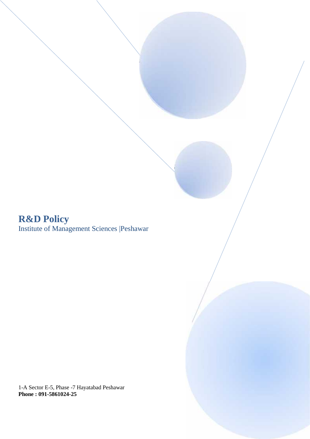# **R&D Policy** Institute of Management Sciences |Peshawar

1-A Sector E-5, Phase -7 Hayatabad Peshawar **Phone : 091-5861024-25**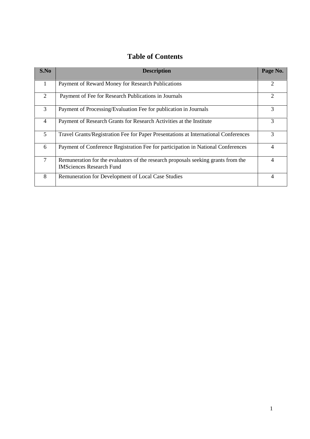| S.No           | <b>Description</b>                                                                                                   | Page No.       |
|----------------|----------------------------------------------------------------------------------------------------------------------|----------------|
| 1              | Payment of Reward Money for Research Publications                                                                    | $\overline{2}$ |
| 2              | Payment of Fee for Research Publications in Journals                                                                 | $\overline{2}$ |
| 3              | Payment of Processing/Evaluation Fee for publication in Journals                                                     | 3              |
| $\overline{4}$ | Payment of Research Grants for Research Activities at the Institute                                                  | 3              |
| $\mathfrak{S}$ | Travel Grants/Registration Fee for Paper Presentations at International Conferences                                  | 3              |
| 6              | Payment of Conference Registration Fee for participation in National Conferences                                     | $\overline{4}$ |
| $\tau$         | Remuneration for the evaluators of the research proposals seeking grants from the<br><b>IMSciences Research Fund</b> | $\overline{4}$ |
| 8              | Remuneration for Development of Local Case Studies                                                                   | $\overline{4}$ |

# **Table of Contents**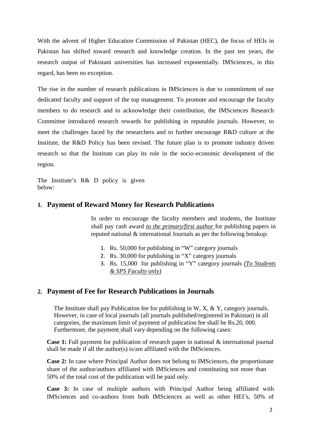With the advent of Higher Education Commission of Pakistan (HEC), the focus of HEIs in Pakistan has shifted toward research and knowledge creation. In the past ten years, the research output of Pakistani universities has increased exponentially. IMSciences, in this regard, has been no exception.

The rise in the number of research publications in IMSciences is due to commitment of our dedicated faculty and support of the top management. To promote and encourage the faculty members to do research and to acknowledge their contribution, the IMSciences Research Committee introduced research rewards for publishing in reputable journals. However, to meet the challenges faced by the researchers and to further encourage R&D culture at the Institute, the R&D Policy has been revised. The future plan is to promote industry driven research so that the Institute can play its role in the socio-economic development of the region.

The Institute's R& D policy is given below:

### **1. Payment of Reward Money for Research Publications**

In order to encourage the faculty members and students, the Institute shall pay cash award *to the primary/first author* for publishing papers in reputed national & international Journals as per the following breakup:

- 1. Rs. 50,000 for publishing in "W" category journals
- 2. Rs. 30,000 for publishing in "X" category journals
- 3. Rs. 15,000 for publishing in "Y" category journals *(To Students & SPS Faculty only)*

# **2. Payment of Fee for Research Publications in Journals**

The Institute shall pay Publication fee for publishing in W, X, & Y, category journals. However, in case of local journals (all journals published/registered in Pakistan) in all categories, the maximum limit of payment of publication fee shall be Rs.20, 000. Furthermore, the payment shall vary depending on the following cases:

**Case 1:** Full payment for publication of research paper in national & international journal shall be made if all the author(s) is/are affiliated with the IMSciences.

**Case 2:** In case where Principal Author does not belong to IMSciences, the proportionate share of the author/authors affiliated with IMSciences and constituting not more than 50% of the total cost of the publication will be paid only.

**Case 3:** In case of multiple authors with Principal Author being affiliated with IMSciences and co-authors from both IMSciences as well as other HEI's, 50% of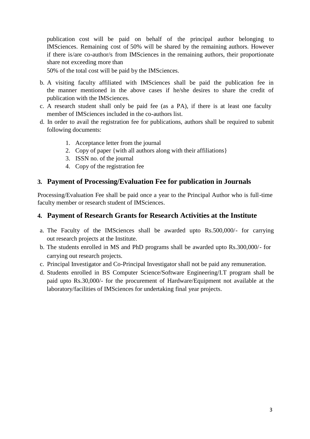publication cost will be paid on behalf of the principal author belonging to IMSciences. Remaining cost of 50% will be shared by the remaining authors. However if there is/are co-author/s from IMSciences in the remaining authors, their proportionate share not exceeding more than

50% of the total cost will be paid by the IMSciences.

- b. A visiting faculty affiliated with IMSciences shall be paid the publication fee in the manner mentioned in the above cases if he/she desires to share the credit of publication with the IMSciences.
- c. A research student shall only be paid fee (as a PA), if there is at least one faculty member of IMSciences included in the co-authors list.
- d. In order to avail the registration fee for publications, authors shall be required to submit following documents:
	- 1. Acceptance letter from the journal
	- 2. Copy of paper {with all authors along with their affiliations}
	- 3. ISSN no. of the journal
	- 4. Copy of the registration fee

# **3. Payment of Processing/Evaluation Fee for publication in Journals**

Processing/Evaluation Fee shall be paid once a year to the Principal Author who is full-time faculty member or research student of IMSciences.

# **4. Payment of Research Grants for Research Activities at the Institute**

- a. The Faculty of the IMSciences shall be awarded upto Rs.500,000/- for carrying out research projects at the Institute.
- b. The students enrolled in MS and PhD programs shall be awarded upto Rs.300,000/- for carrying out research projects.
- c. Principal Investigator and Co-Principal Investigator shall not be paid any remuneration.
- d. Students enrolled in BS Computer Science/Software Engineering/I.T program shall be paid upto Rs.30,000/- for the procurement of Hardware/Equipment not available at the laboratory/facilities of IMSciences for undertaking final year projects.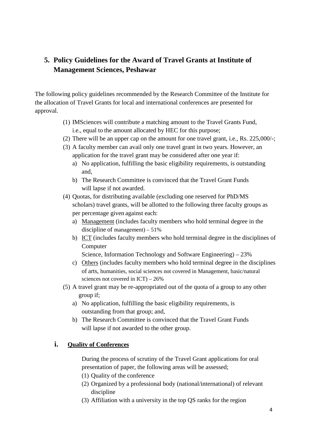# **5. Policy Guidelines for the Award of Travel Grants at Institute of Management Sciences, Peshawar**

The following policy guidelines recommended by the Research Committee of the Institute for the allocation of Travel Grants for local and international conferences are presented for approval.

- (1) IMSciences will contribute a matching amount to the Travel Grants Fund, i.e., equal to the amount allocated by HEC for this purpose;
- (2) There will be an upper cap on the amount for one travel grant, i.e., Rs. 225,000/-;
- (3) A faculty member can avail only one travel grant in two years. However, an application for the travel grant may be considered after one year if:
	- a) No application, fulfilling the basic eligibility requirements, is outstanding and,
	- b) The Research Committee is convinced that the Travel Grant Funds will lapse if not awarded.
- (4) Quotas, for distributing available (excluding one reserved for PhD/MS scholars) travel grants, will be allotted to the following three faculty groups as per percentage given against each:
	- a) Management (includes faculty members who hold terminal degree in the discipline of management) – 51%
	- b) ICT (includes faculty members who hold terminal degree in the disciplines of Computer
		- Science, Information Technology and Software Engineering) 23%
	- c) Others (includes faculty members who hold terminal degree in the disciplines of arts, humanities, social sciences not covered in Management, basic/natural sciences not covered in ICT) – 26%
- (5) A travel grant may be re-appropriated out of the quota of a group to any other group if;
	- a) No application, fulfilling the basic eligibility requirements, is outstanding from that group; and,
	- b) The Research Committee is convinced that the Travel Grant Funds will lapse if not awarded to the other group.

# **i. Quality of Conferences**

During the process of scrutiny of the Travel Grant applications for oral presentation of paper, the following areas will be assessed;

- (1) Quality of the conference
- (2) Organized by a professional body (national/international) of relevant discipline
- (3) Affiliation with a university in the top QS ranks for the region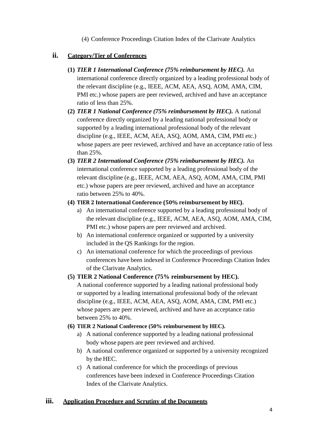(4) Conference Proceedings Citation Index of the Clarivate Analytics

#### **ii. Category/Tier of Conferences**

- **(1)** *TIER 1 International Conference (75% reimbursement by HEC).* An international conference directly organized by a leading professional body of the relevant discipline (e.g., IEEE, ACM, AEA, ASQ, AOM, AMA, CIM, PMI etc.) whose papers are peer reviewed, archived and have an acceptance ratio of less than 25%.
- **(2)** *TIER 1 National Conference (75% reimbursement by HEC).* A national conference directly organized by a leading national professional body or supported by a leading international professional body of the relevant discipline (e.g., IEEE, ACM, AEA, ASQ, AOM, AMA, CIM, PMI etc.) whose papers are peer reviewed, archived and have an acceptance ratio of less than 25%.
- **(3)** *TIER 2 International Conference (75% reimbursement by HEC).* An international conference supported by a leading professional body of the relevant discipline (e.g., IEEE, ACM, AEA, ASQ, AOM, AMA, CIM, PMI etc.) whose papers are peer reviewed, archived and have an acceptance ratio between 25% to 40%.

#### **(4) TIER 2 International Conference (50% reimbursement by HEC).**

- a) An international conference supported by a leading professional body of the relevant discipline (e.g., IEEE, ACM, AEA, ASQ, AOM, AMA, CIM, PMI etc.) whose papers are peer reviewed and archived.
- b) An international conference organized or supported by a university included in the QS Rankings for the region.
- c) An international conference for which the proceedings of previous conferences have been indexed in Conference Proceedings Citation Index of the Clarivate Analytics.

#### **(5) TIER 2 National Conference (75% reimbursement by HEC).**

A national conference supported by a leading national professional body or supported by a leading international professional body of the relevant discipline (e.g., IEEE, ACM, AEA, ASQ, AOM, AMA, CIM, PMI etc.) whose papers are peer reviewed, archived and have an acceptance ratio between 25% to 40%.

#### **(6) TIER 2 National Conference (50% reimbursement by HEC).**

- a) A national conference supported by a leading national professional body whose papers are peer reviewed and archived.
- b) A national conference organized or supported by a university recognized by the HEC.
- c) A national conference for which the proceedings of previous conferences have been indexed in Conference Proceedings Citation Index of the Clarivate Analytics.

#### **iii. Application Procedure and Scrutiny of the Documents**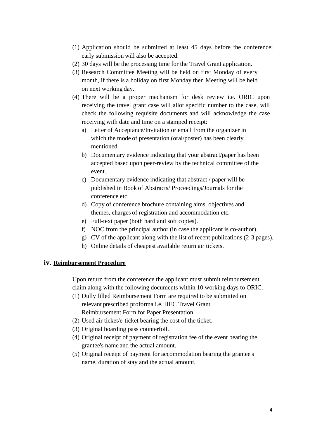- (1) Application should be submitted at least 45 days before the conference; early submission will also be accepted.
- (2) 30 days will be the processing time for the Travel Grant application.
- (3) Research Committee Meeting will be held on first Monday of every month, if there is a holiday on first Monday then Meeting will be held on next working day.
- (4) There will be a proper mechanism for desk review i.e. ORIC upon receiving the travel grant case will allot specific number to the case, will check the following requisite documents and will acknowledge the case receiving with date and time on a stamped receipt:
	- a) Letter of Acceptance/Invitation or email from the organizer in which the mode of presentation (oral/poster) has been clearly mentioned.
	- b) Documentary evidence indicating that your abstract/paper has been accepted based upon peer-review by the technical committee of the event.
	- c) Documentary evidence indicating that abstract / paper will be published in Book of Abstracts/ Proceedings/Journals for the conference etc.
	- d) Copy of conference brochure containing aims, objectives and themes, charges of registration and accommodation etc.
	- e) Full-text paper (both hard and soft copies).
	- f) NOC from the principal author (in case the applicant is co-author).
	- g) CV of the applicant along with the list of recent publications (2-3 pages).
	- h) Online details of cheapest available return air tickets.

#### **iv. Reimbursement Procedure**

Upon return from the conference the applicant must submit reimbursement claim along with the following documents within 10 working days to ORIC.

- (1) Dully filled Reimbursement Form are required to be submitted on relevant prescribed proforma i.e. HEC Travel Grant Reimbursement Form for Paper Presentation.
- (2) Used air ticket/e-ticket bearing the cost of the ticket.
- (3) Original boarding pass counterfoil.
- (4) Original receipt of payment of registration fee of the event bearing the grantee's name and the actual amount.
- (5) Original receipt of payment for accommodation bearing the grantee's name, duration of stay and the actual amount.